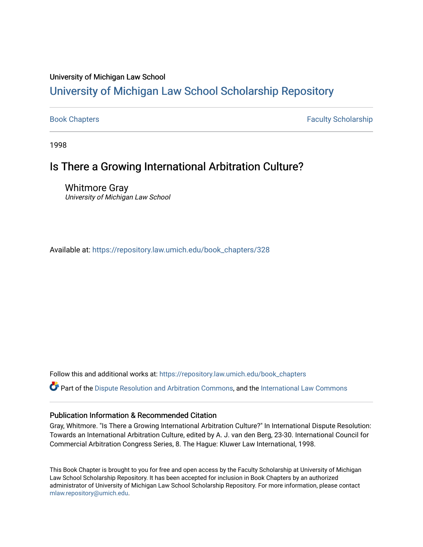## University of Michigan Law School

# [University of Michigan Law School Scholarship Repository](https://repository.law.umich.edu/)

[Book Chapters](https://repository.law.umich.edu/book_chapters) Faculty Scholarship

1998

# Is There a Growing International Arbitration Culture?

Whitmore Gray University of Michigan Law School

Available at: [https://repository.law.umich.edu/book\\_chapters/328](https://repository.law.umich.edu/book_chapters/328) 

Follow this and additional works at: [https://repository.law.umich.edu/book\\_chapters](https://repository.law.umich.edu/book_chapters?utm_source=repository.law.umich.edu%2Fbook_chapters%2F328&utm_medium=PDF&utm_campaign=PDFCoverPages)

Part of the [Dispute Resolution and Arbitration Commons,](http://network.bepress.com/hgg/discipline/890?utm_source=repository.law.umich.edu%2Fbook_chapters%2F328&utm_medium=PDF&utm_campaign=PDFCoverPages) and the International Law Commons

## Publication Information & Recommended Citation

Gray, Whitmore. "Is There a Growing International Arbitration Culture?" In International Dispute Resolution: Towards an International Arbitration Culture, edited by A. J. van den Berg, 23-30. International Council for Commercial Arbitration Congress Series, 8. The Hague: Kluwer Law International, 1998.

This Book Chapter is brought to you for free and open access by the Faculty Scholarship at University of Michigan Law School Scholarship Repository. It has been accepted for inclusion in Book Chapters by an authorized administrator of University of Michigan Law School Scholarship Repository. For more information, please contact [mlaw.repository@umich.edu.](mailto:mlaw.repository@umich.edu)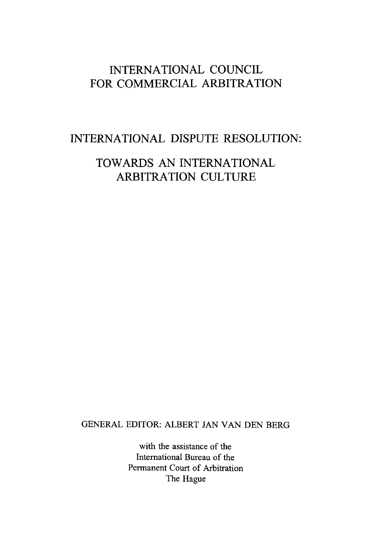# INTERNATIONAL COUNCIL FOR COMMERCIAL ARBITRATION

## INTERNATIONAL DISPUTE RESOLUTION:

# TOWARDS AN INTERNATIONAL ARBITRATION CULTURE

## GENERAL EDITOR: ALBERT JAN VAN DEN BERG

with the assistance of the International Bureau of the Permanent Court of Arbitration The Hague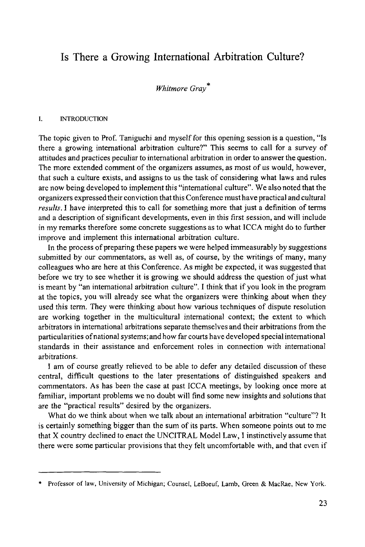## **Is There a Growing International Arbitration Culture?**

### *Whitmore Gray\**

#### I. INTRODUCTION

The topic given to Prof. Taniguchi and myself for this opening session is a question, "Is there a growing international arbitration culture?" This seems to call for a survey of attitudes and practices peculiar to international arbitration in order to answer the question. The more extended comment of the organizers assumes, as most of us would, however, that such a culture exists, and assigns to us the task of considering what laws and rules are now being developed to implement this "international culture". We also noted that the organizers expressed their conviction that this Conference must have practical and cultural *results.* I have interpreted this to call for something more that just a definition of terms and a description of significant developments, even in this first session, and will include in my remarks therefore some concrete suggestions as to what ICCA might do to further improve and implement this international arbitration culture.

In the process of preparing these papers we were helped immeasurably by suggestions submitted by our commentators, as well as, of course, by the writings of many, many colleagues who are here at this Conference. As might be expected, it was suggested that before we try to see whether it is growing we should address the question of just what is meant by "an international arbitration culture". I think that if you look in the program at the topics, you will already see what the organizers were thinking about when they used this term. They were thinking about how various techniques of dispute resolution are working together in the multicultural international context; the extent to which arbitrators in international arbitrations separate themselves and their arbitrations from the particularities of national systems; and how far courts have developed special international standards in their assistance and enforcement roles in connection with international arbitrations.

I am of course greatly relieved to be able to defer any detailed discussion of these central, difficult questions to the later presentations of distinguished speakers and commentators. As has been the case at past ICCA meetings, by looking once more at familiar, important problems we no doubt will find some new insights and solutions that are the "practical results" desired by the organizers.

What do we think about when we talk about an international arbitration "culture"? It is certainly something bigger than the sum of its parts. When someone points out to me that X country declined to enact the UNCITRAL Model Law, I instinctively assume that there were some particular provisions that they felt uncomfortable with, and that even if

Professor of law, University of Michigan; Counsel, LeBoeuf, Lamb, Green & MacRae, New York.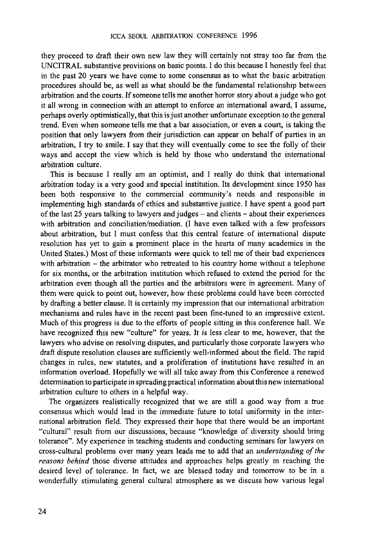they proceed to draft their own new law they will certainly not stray too far from the UNCITRAL substantive provisions on basic points. I do this because I honestly feel that in the past 20 years we have come to some consensus as to what the basic arbitration procedures should be, as well as what should be the fundamental relationship between arbitration and the courts. If someone tells me another horror story about a judge who got it all wrong in connection with an attempt to enforce an international award, I assume, perhaps overly optimistically, that this is just another unfortunate exception to the general trend. Even when someone tells me that a bar association, or even a court, is taking the position that only lawyers from their jurisdiction can appear on behalf of parties in an arbitration, I try to smile. I say that they will eventually come to see the folly of their ways and accept the view which is held by those who understand the international arbitration culture.

This is because I really am an optimist, and I really do think that international arbitration today is a very good and special institution. Its development since 1950 has been both responsive to the commercial community's needs and responsible in implementing high standards of ethics and substantive justice. I have spent a good part of the last 25 years talking to lawyers and judges - and clients - about their experiences with arbitration and conciliation/mediation. (I have even talked with a few professors about arbitration, but I must confess that this central feature of international dispute resolution has yet to gain a prominent place in the hearts of many academics in the United States.) Most of these informants were quick to tell me of their bad experiences with arbitration - the arbitrator who retreated to his country home without a telephone for six months, or the arbitration institution which refused to extend the period for the arbitration even though all the parties and the arbitrators were in agreement. Many of them were quick to point out, however, how these problems could have been corrected by drafting a better clause. It is certainly my impression that our international arbitration mechanisms and rules have in the recent past been fine-tuned to an impressive extent. Much of this progress is due to the efforts of people sitting in this conference hall. We have recognized this new "culture" for years. It is less clear to me, however, that the lawyers who advise on resolving disputes, and particularly those corporate lawyers who draft dispute resolution clauses are sufficiently well-informed about the field. The rapid changes in rules, new statutes, and a proliferation of institutions have resulted in an information overload. Hopefully we will all take away from this Conference a renewed determination to participate in spreading practical information about this new international arbitration culture to others in a helpful way.

The organizers realistically recognized that we are still a good way from a true consensus which would lead in the immediate future to total uniformity in the international arbitration field. They expressed their hope that there would be an important "cultural" result from our discussions, because "knowledge of diversity should bring tolerance". My experience in teaching students and conducting seminars for lawyers on cross-cultural problems over many years leads me to add that an *understanding of the reasons behind* those diverse attitudes and approaches helps greatly in reaching the desired level of tolerance. In fact, we are blessed today and tomorrow to be in a wonderfully stimulating general cultural atmosphere as we discuss how various legal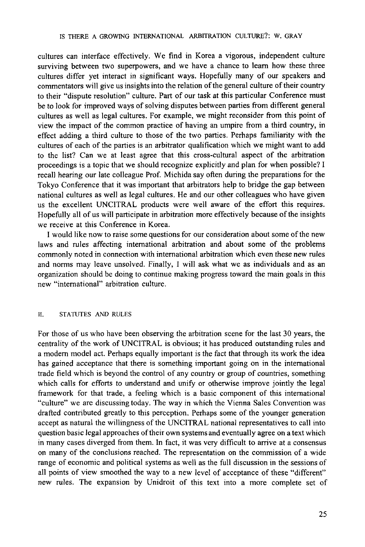cultures can interface effectively. We find in Korea a vigorous, independent culture surviving between two superpowers, and we have a chance to learn how these three cultures differ yet interact in significant ways. Hopefully many of our speakers and commentators will give us insights into the relation of the general culture of their country to their "dispute resolution" culture. Part of our task at this particular Conference must be to look for improved ways of solving disputes between parties from different general cultures as well as legal cultures. For example, we might reconsider from this point of view the impact of the common practice of having an umpire from a third country, in effect adding a third culture to those of the two parties. Perhaps familiarity with the cultures of each of the parties is an arbitrator qualification which we might want to add to the list? Can we at least agree that this cross-cultural aspect of the arbitration proceedings is a topic that we should recognize explicitly and plan for when possible? I recall hearing our late colleague Prof. Michida say often during the preparations for the Tokyo Conference that it was important that arbitrators help to bridge the gap between national cultures as well as legal cultures. He and our other colleagues who have given us the excellent UNCITRAL products were well aware of the effort this requires. Hopefully all of us will participate in arbitration more effectively because of the insights we receive at this Conference in Korea.

I would like now to raise some questions for our consideration about some of the new laws and rules affecting international arbitration and about some of the problems commonly noted in connection with international arbitration which even these new rules and norms may leave unsolved. Finally, I will ask what we as individuals and as an organization should be doing to continue making progress toward the main goals in this new "international" arbitration culture.

#### II. STATUTES AND RULES

For those of us who have been observing the arbitration scene for the last 30 years, the centrality of the work of UNCITRAL is obvious; it has produced outstanding rules and a modem model act. Perhaps equally important is the fact that through its work the idea has gained acceptance that there is something important going on in the international trade field which is beyond the control of any country or group of countries, something which calls for efforts to understand and unify or otherwise improve jointly the legal framework for that trade, a feeling which is a basic component of this international "culture" we are discussing today. The way in which the Vienna Sales Convention was drafted contributed greatly to this perception. Perhaps some of the younger generation accept as natural the willingness of the UNCITRAL national representatives to call into question basic legal approaches of their own systems and eventually agree on a text which in many cases diverged from them. In fact, it was very difficult to arrive at a consensus on many of the conclusions reached. The representation on the commission of a wide range of economic and political systems as well as the full discussion in the sessions of all points of view smoothed the way to a new level of acceptance of these "different" new rules. The expansion by Unidroit of this text into a more complete set of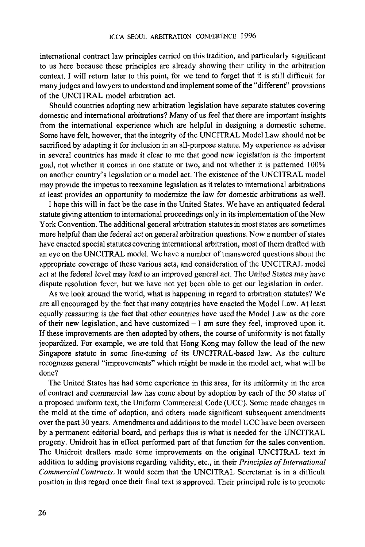international contract law principles carried on this tradition, and particularly significant to us here because these principles are already showing their utility in the arbitration context. I will return later to this point, for we tend to forget that it is still difficult for many judges and lawyers to understand and implement some of the "different" provisions of the UNCITRAL model arbitration act.

Should countries adopting new arbitration legislation have separate statutes covering domestic and international arbitrations? Many of us feel that there are important insights from the international experience which are helpful in designing a domestic scheme. Some have felt, however, that the integrity of the UNCITRAL Model Law should not be sacrificed by adapting it for inclusion in an all-purpose statute. My experience as adviser in several countries has made it clear to me that good new legislation is the important goal, not whether it comes in one statute or two, and not whether it is patterned 100% on another country's legislation or a model act. The existence of the UNCITRAL model may provide the impetus to reexamine legislation as it relates to international arbitrations at least provides an opportunity to modernize the law for domestic arbitrations as well.

I hope this will in fact be the case in the United States. We have an antiquated federal statute giving attention to international proceedings only in its implementation of the New York Convention. The additional general arbitration statutes in most states are sometimes more helpful than the federal act on general arbitration questions. Now a number of states have enacted special statutes covering international arbitration, most of them drafted with an eye on the UNCITRAL model. We have a number of unanswered questions about the appropriate coverage of these various acts, and consideration of the UNCITRAL model act at the federal level may lead to an improved general act. The United States may have dispute resolution fever, but we have not yet been able to get our legislation in order.

As we look around the world, what is happening in regard to arbitration statutes? We are all encouraged by the fact that many countries have enacted the Model Law. At least equally reassuring is the fact that other countries have used the Model Law as the core of their new legislation, and have customized - I am sure they feel, improved upon it. If these improvements are then adopted by others, the course of uniformity is not fatally jeopardized. For example, we are told that Hong Kong may follow the lead of the new Singapore statute in some fine-tuning of its UNCITRAL-based law. As the culture recognizes general "improvements" which might be made in the model act, what will be done?

The United States has had some experience in this area, for its uniformity in the area of contract and commercial law has come about by adoption by each of the 50 states of a proposed uniform text, the Uniform Commercial Code (DCC). Some made changes in the mold at the time of adoption, and others made significant subsequent amendments over the past 30 years. Amendments and additions to the model UCC have been overseen by a permanent editorial board, and perhaps this is what is needed for the UNCITRAL progeny. Unidroit has in effect performed part of that function for the sales convention. The Unidroit drafters made some improvements on the original UNCITRAL text in addition to adding provisions regarding validity, etc., in their *Principles of International Commercial Contracts.* It would seem that the UNCITRAL Secretariat is in a difficult position in this regard once their final text is approved. Their principal role is to promote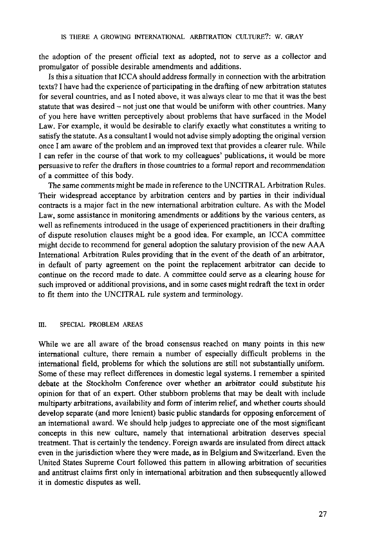the adoption of the present official text as adopted, not to serve as a collector and promulgator of possible desirable amendments and additions.

Is this a situation that ICCA should address formally in connection with the arbitration texts? I have had the experience of participating in the drafting of new arbitration statutes for several countries, and as I noted above, it was always clear to me that it was the best statute that was desired - not just one that would be uniform with other countries. Many of you here have written perceptively about problems that have surfaced in the Model Law. For example, it would be desirable to clarify exactly what constitutes a writing to satisfy the statute. As a consultant I would not advise simply adopting the original version once I am aware of the problem and an improved text that provides a clearer rule. While I can refer in the course of that work to my colleagues' publications, it would be more persuasive to refer the drafters in those countries to a formal report and recommendation of a committee of this body.

The same comments might be made in reference to the UNCITRAL Arbitration Rules. Their widespread acceptance by arbitration centers and by parties in their individual contracts is a major fact in the new international arbitration culture. As with the Model Law, some assistance in monitoring amendments or additions by the various centers, as well as refinements introduced in the usage of experienced practitioners in their drafting of dispute resolution clauses might be a good idea. For example, an ICCA committee might decide to recommend for general adoption the salutary provision of the new AAA International Arbitration Rules providing that in the event of the death of an arbitrator, in default of party agreement on the point the replacement arbitrator can decide to continue on the record made to date. A committee could serve as a clearing house for such improved or additional provisions, and in some cases might redraft the text in order to fit them into the UNCITRAL rule system and terminology.

#### III. SPECIAL PROBLEM AREAS

While we are all aware of the broad consensus reached on many points in this new international culture, there remain a number of especially difficult problems in the international field, problems for which the solutions are still not substantially uniform. Some of these may reflect differences in domestic legal systems. I remember a spirited debate at the Stockholm Conference over whether an arbitrator could substitute his opinion for that of an expert. Other stubborn problems that may be dealt with include multiparty arbitrations, availability and form of interim relief, and whether courts should develop separate (and more lenient) basic public standards for opposing enforcement of an international award. We should help judges to appreciate one of the most significant concepts in this new culture, namely that international arbitration deserves special treatment. That is certainly the tendency. Foreign awards are insulated from direct attack even in the jurisdiction where they were made, as in Belgium and Switzerland. Even the United States Supreme Court followed this pattern in allowing arbitration of securities and antitrust claims first only in international arbitration and then subsequently allowed it in domestic disputes as well.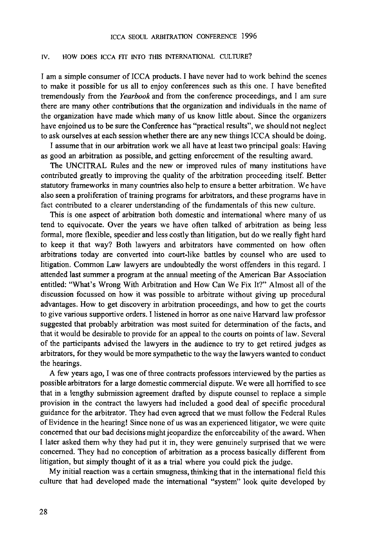#### IV. HOW DOES ICCA FIT INTO THIS INTERNATIONAL CULTURE?

I am a simple consumer of ICCA products. I have never had to work behind the scenes to make it possible for us all to enjoy conferences such as this one. I have benefited tremendously from the *Yearbook* and from the conference proceedings, and I am sure there are many other contributions that the organization and individuals in the name of the organization have made which many of us know little about. Since the organizers have enjoined us to be sure the Conference has "practical results", we should not neglect to ask ourselves at each session whether there are any new things ICCA should be doing.

I assume that in our arbitration work we all have at least two principal goals: Having as good an arbitration as possible, and getting enforcement of the resulting award.

The UNCITRAL Rules and the new or improved rules of many institutions have contributed greatly to improving the quality of the arbitration proceeding itself. Better statutory frameworks in many countries also help to ensure a better arbitration. We have also seen a proliferation of training programs for arbitrators, and these programs have in fact contributed to a clearer understanding of the fundamentals of this new culture.

This is one aspect of arbitration both domestic and international where many of us tend to equivocate. Over the years we have often talked of arbitration as being less formal, more flexible, speedier and less costly than litigation, but do we really fight hard to keep it that way? Both lawyers and arbitrators have commented on how often arbitrations today are converted into court-like battles by counsel who are used to litigation. Common Law lawyers are undoubtedly the worst offenders in this regard. I attended last summer a program at the annual meeting of the American Bar Association entitled: "What's Wrong With Arbitration and How Can We Fix It?" Almost all of the discussion focussed on how it was possible to arbitrate without giving up procedural advantages. How to get discovery in arbitration proceedings, and how to get the courts to give various supportive orders. I listened in horror as one naive Harvard law professor suggested that probably arbitration was most suited for determination of the facts, and that it would be desirable to provide for an appeal to the courts on points of law. Several of the participants advised the lawyers in the audience to try to get retired judges as arbitrators, for they would be more sympathetic to the way the lawyers wanted to conduct the hearings.

A few years ago, I was one of three contracts professors interviewed by the parties as possible arbitrators for a large domestic commercial dispute. We were all horrified to see that in a lengthy submission agreement drafted by dispute counsel to replace a simple provision in the contract the lawyers had included a good deal of specific procedural guidance for the arbitrator. They had even agreed that we must follow the Federal Rules of Evidence in the hearing! Since none of us was an experienced litigator, we were quite concerned that our bad decisions might jeopardize the enforceability of the award. When I later asked them why they had put it in, they were genuinely surprised that we were concerned. They had no conception of arbitration as a process basically different from litigation, but simply thought of it as a trial where you could pick the judge.

My initial reaction was a certain smugness, thinking that in the international field this culture that had developed made the international "system" look quite developed by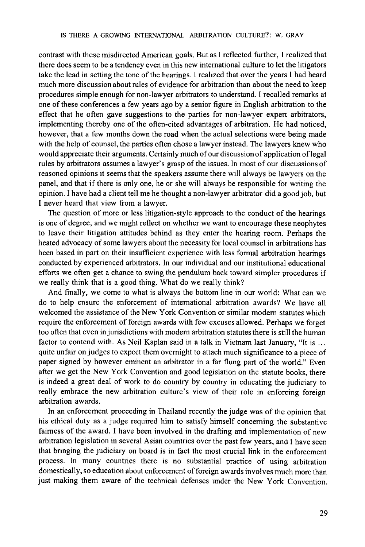contrast with these misdirected American goals. But as I reflected further, I realized that there does seem to be a tendency even in this new international culture to let the litigators take the lead in setting the tone of the hearings. I realized that over the years I had heard much more discussion about rules of evidence for arbitration than about the need to keep procedures simple enough for non-lawyer arbitrators to understand. I recalled remarks at one of these conferences a few years ago by a senior figure in English arbitration to the effect that he often gave suggestions to the parties for non-lawyer expert arbitrators, implementing thereby one of the often-cited advantages of arbitration. He had noticed, however, that a few months down the road when the actual selections were being made with the help of counsel, the parties often chose a lawyer instead. The lawyers knew who would appreciate their arguments. Certainly much of our discussion of application oflegal rules by arbitrators assumes a lawyer's grasp of the issues. In most of our discussions of reasoned opinions it seems that the speakers assume there will always be lawyers on the panel, and that if there is only one, he or she will always be responsible for writing the opinion. I have had a client tell me he thought a non-lawyer arbitrator did a good job, but I never heard that view from a lawyer.

The question of more or less litigation-style approach to the conduct of the hearings is one of degree, and we might reflect on whether we want to encourage these neophytes to leave their litigation attitudes behind as they enter the hearing room. Perhaps the heated advocacy of some lawyers about the necessity for local counsel in arbitrations has been based in part on their insufficient experience with less formal arbitration hearings conducted by experienced arbitrators. In our individual and our institutional educational efforts we often get a chance to swing the pendulum back toward simpler procedures if we really think that is a good thing. What do we really think?

And finally, we come to what is always the bottom line in our world: What can we do to help ensure the enforcement of international arbitration awards? We have all welcomed the assistance of the New York Convention or similar modem statutes which require the enforcement of foreign awards with few excuses allowed. Perhaps we forget too often that even in jurisdictions with modem arbitration statutes there is still the human factor to contend with. As Neil Kaplan said in a talk in Vietnam last January, "It is ... quite unfair on judges to expect them overnight to attach much significance to a piece of paper signed by however eminent an arbitrator in a far flung part of the world." Even after we get the New York Convention and good legislation on the statute books, there is indeed a great deal of work to do country by country in educating the judiciary to really embrace the new arbitration culture's view of their role in enforcing foreign arbitration awards.

In an enforcement proceeding in Thailand recently the judge was of the opinion that his ethical duty as a judge required him to satisfy himself concerning the substantive fairness of the award. I have been involved in the drafting and implementation of new arbitration legislation in several Asian countries over the past few years, and I have seen that bringing the judiciary on board is in fact the most crucial link in the enforcement process. In many countries there is no substantial practice of using arbitration domestically, so education about enforcement of foreign awards involves much more than just making them aware of the technical defenses under the New York Convention.